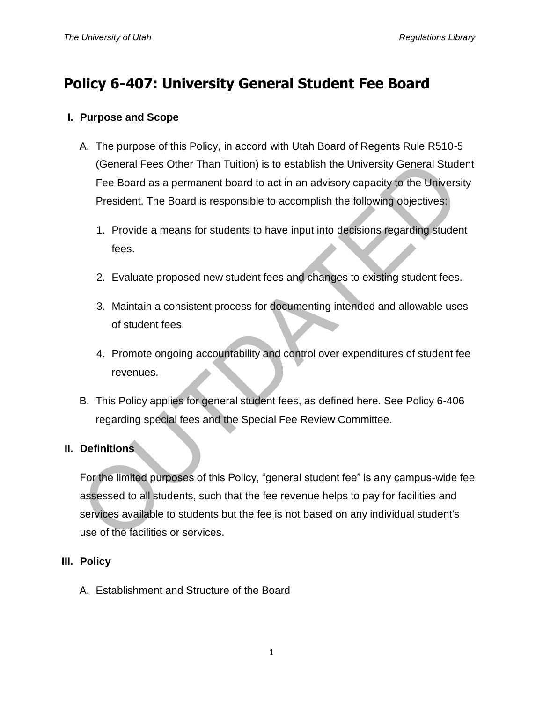# **Policy 6-407: University General Student Fee Board**

# **I. Purpose and Scope**

- A. The purpose of this Policy, in accord with Utah Board of Regents Rule R510-5 (General Fees Other Than Tuition) is to establish the University General Student Fee Board as a permanent board to act in an advisory capacity to the University President. The Board is responsible to accomplish the following objectives:
	- 1. Provide a means for students to have input into decisions regarding student fees.
	- 2. Evaluate proposed new student fees and changes to existing student fees.
	- 3. Maintain a consistent process for documenting intended and allowable uses of student fees.
	- 4. Promote ongoing accountability and control over expenditures of student fee revenues.
- B. This Policy applies for general student fees, as defined here. See Policy 6-406 regarding special fees and the Special Fee Review Committee.

# **II. Definitions**

For the limited purposes of this Policy, "general student fee" is any campus-wide fee assessed to all students, such that the fee revenue helps to pay for facilities and services available to students but the fee is not based on any individual student's use of the facilities or services. (General Fees Other Than Tuition) is to establish the University General Stude<br>
Fee Board as a permanent board to act in an advisory capacity to the Univers<br>
President. The Board is responsible to accomplish the following

# **III. Policy**

A. Establishment and Structure of the Board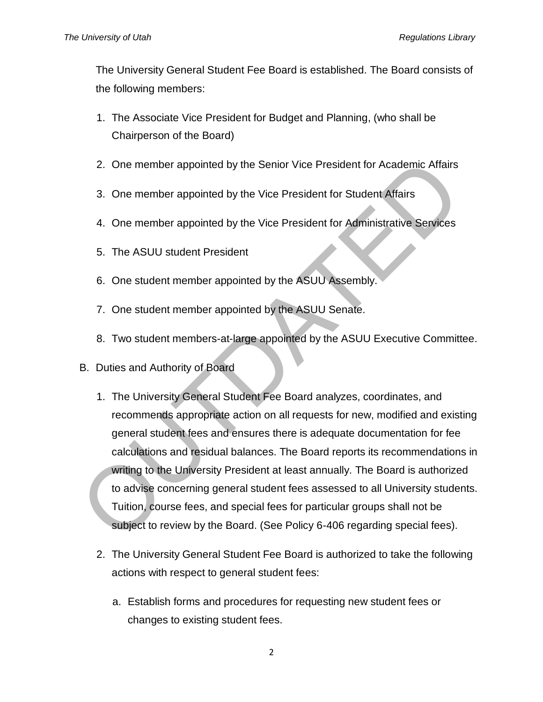The University General Student Fee Board is established. The Board consists of the following members:

- 1. The Associate Vice President for Budget and Planning, (who shall be Chairperson of the Board)
- 2. One member appointed by the Senior Vice President for Academic Affairs
- 3. One member appointed by the Vice President for Student Affairs
- 4. One member appointed by the Vice President for Administrative Services
- 5. The ASUU student President
- 6. One student member appointed by the ASUU Assembly.
- 7. One student member appointed by the ASUU Senate.
- 8. Two student members-at-large appointed by the ASUU Executive Committee.
- B. Duties and Authority of Board
- 1. The University General Student Fee Board analyzes, coordinates, and recommends appropriate action on all requests for new, modified and existing general student fees and ensures there is adequate documentation for fee calculations and residual balances. The Board reports its recommendations in writing to the University President at least annually. The Board is authorized to advise concerning general student fees assessed to all University students. Tuition, course fees, and special fees for particular groups shall not be subject to review by the Board. (See Policy 6-406 regarding special fees). 2. One member appointed by the Senior Vice President for Academic Affairs<br>
3. One member appointed by the Vice President for Student Affairs<br>
4. One member appointed by the Vice President for Administrative Services<br>
5. Th
	- 2. The University General Student Fee Board is authorized to take the following actions with respect to general student fees:
		- a. Establish forms and procedures for requesting new student fees or changes to existing student fees.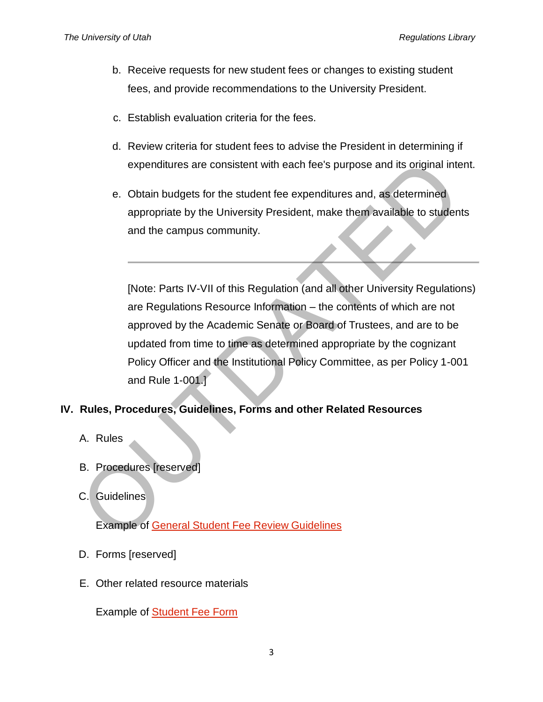- b. Receive requests for new student fees or changes to existing student fees, and provide recommendations to the University President.
- c. Establish evaluation criteria for the fees.
- d. Review criteria for student fees to advise the President in determining if expenditures are consistent with each fee's purpose and its original intent.
- e. Obtain budgets for the student fee expenditures and, as determined appropriate by the University President, make them available to students and the campus community.

[Note: Parts IV-VII of this Regulation (and all other University Regulations) are Regulations Resource Information – the contents of which are not approved by the Academic Senate or Board of Trustees, and are to be updated from time to time as determined appropriate by the cognizant Policy Officer and the Institutional Policy Committee, as per Policy 1-001 and Rule 1-001.] expenditures are consistent with each fee's purpose and its original intered to the student feet expenditures and, as determined appropriate by the University President, make them available to studen and the campus communi

#### **IV. Rules, Procedures, Guidelines, Forms and other Related Resources**

- A. Rules
- B. Procedures [reserved]
- C. Guidelines

Example of General Student Fee Review Guidelines

- D. Forms [reserved]
- E. Other related resource materials

Example of [Student Fee Form](http://regulations.utah.edu/academics/appendices_6/6-407_Example-of-form%20.pdf)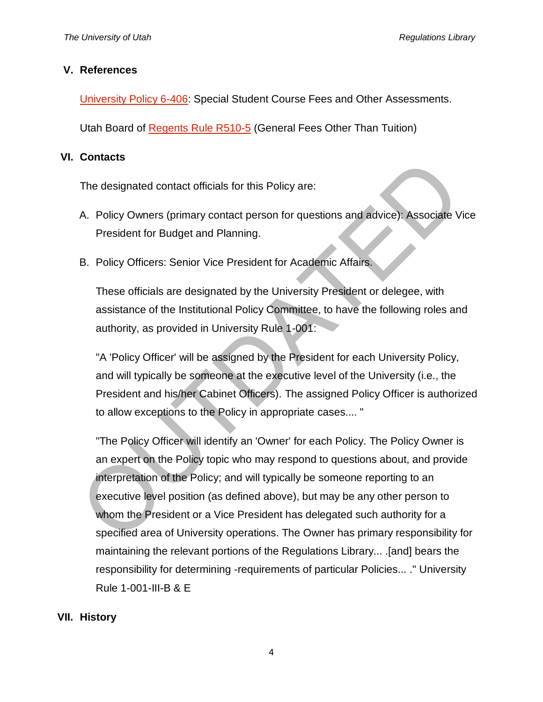### **V. References**

[University Policy 6-406:](http://regulations.utah.edu/academics/6-406.php) Special Student Course Fees and Other Assessments.

Utah Board of [Regents Rule R510-5](https://higheredutah.org/policies/r510-tuition-and-fees/) (General Fees Other Than Tuition)

## **VI. Contacts**

The designated contact officials for this Policy are:

- A. Policy Owners (primary contact person for questions and advice): Associate Vice President for Budget and Planning.
- B. Policy Officers: Senior Vice President for Academic Affairs.

These officials are designated by the University President or delegee, with assistance of the Institutional Policy Committee, to have the following roles and authority, as provided in University Rule 1-001:

"A 'Policy Officer' will be assigned by the President for each University Policy, and will typically be someone at the executive level of the University (i.e., the President and his/her Cabinet Officers). The assigned Policy Officer is authorized to allow exceptions to the Policy in appropriate cases.... "

"The Policy Officer will identify an 'Owner' for each Policy. The Policy Owner is an expert on the Policy topic who may respond to questions about, and provide interpretation of the Policy; and will typically be someone reporting to an executive level position (as defined above), but may be any other person to whom the President or a Vice President has delegated such authority for a specified area of University operations. The Owner has primary responsibility for maintaining the relevant portions of the Regulations Library... .[and] bears the responsibility for determining -requirements of particular Policies... ." University Rule 1-001-III-B & E The designated contact officials for this Policy are:<br>
A. Policy Owners (primary contact person for questions and advice): Associate V<br>
President for Budget and Planning.<br>
B. Policy Officers: Senior Vice President for Acad

# **VII. History**